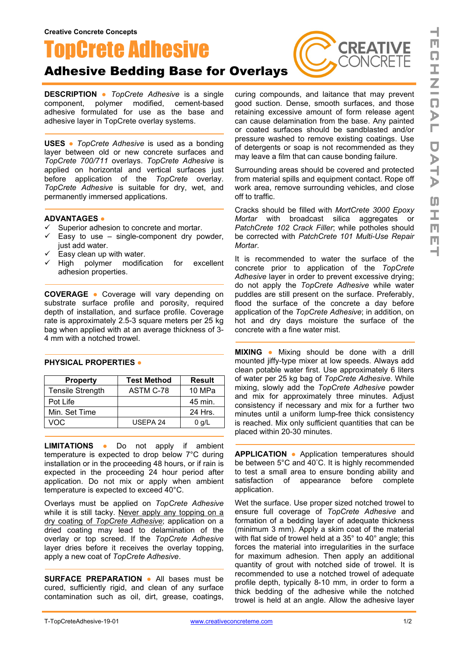# **TopCrete Adhesive**

## Adhesive Bedding Base for Overlays

**DESCRIPTION ●** *TopCrete Adhesive* is a single component, polymer modified, cement-based adhesive formulated for use as the base and adhesive layer in TopCrete overlay systems.

**USES ●** *TopCrete Adhesive* is used as a bonding layer between old or new concrete surfaces and *TopCrete 700/711* overlays. *TopCrete Adhesive* is applied on horizontal and vertical surfaces just before application of the *TopCrete* overlay. *TopCrete Adhesive* is suitable for dry, wet, and permanently immersed applications.

#### **ADVANTAGES ●**

- $\checkmark$  Superior adhesion to concrete and mortar.
- $\checkmark$  Easy to use single-component dry powder, just add water.
- $\checkmark$  Easy clean up with water.<br> $\checkmark$  High polymer modific
- polymer modification for excellent adhesion properties.

**COVERAGE ●** Coverage will vary depending on substrate surface profile and porosity, required depth of installation, and surface profile. Coverage rate is approximately 2.5-3 square meters per 25 kg bag when applied with at an average thickness of 3- 4 mm with a notched trowel.

| <b>Property</b>  | <b>Test Method</b> | <b>Result</b> |
|------------------|--------------------|---------------|
| Tensile Strength | ASTM C-78          | 10 MPa        |
| Pot Life         |                    | 45 min.       |
| Min. Set Time    |                    | 24 Hrs.       |
| VOC              | USEPA 24           | $0$ g/L       |

#### **PHYSICAL PROPERTIES ●**

**LIMITATIONS ●** Do not apply if ambient temperature is expected to drop below 7°C during installation or in the proceeding 48 hours, or if rain is expected in the proceeding 24 hour period after application. Do not mix or apply when ambient temperature is expected to exceed 40°C.

Overlays must be applied on *TopCrete Adhesive* while it is still tacky. Never apply any topping on a dry coating of *TopCrete Adhesive*; application on a dried coating may lead to delamination of the overlay or top screed. If the *TopCrete Adhesive* layer dries before it receives the overlay topping, apply a new coat of *TopCrete Adhesive*.

**SURFACE PREPARATION ●** All bases must be cured, sufficiently rigid, and clean of any surface contamination such as oil, dirt, grease, coatings, curing compounds, and laitance that may prevent good suction. Dense, smooth surfaces, and those retaining excessive amount of form release agent can cause delamination from the base. Any painted or coated surfaces should be sandblasted and/or pressure washed to remove existing coatings. Use of detergents or soap is not recommended as they may leave a film that can cause bonding failure.

**CREATIVE** 

Surrounding areas should be covered and protected from material spills and equipment contact. Rope off work area, remove surrounding vehicles, and close off to traffic.

Cracks should be filled with *MortCrete 3000 Epoxy Mortar* with broadcast silica aggregates or *PatchCrete 102 Crack Filler*; while potholes should be corrected with *PatchCrete 101 Multi-Use Repair Mortar*.

It is recommended to water the surface of the concrete prior to application of the *TopCrete Adhesive* layer in order to prevent excessive drying; do not apply the *TopCrete Adhesive* while water puddles are still present on the surface. Preferably, flood the surface of the concrete a day before application of the *TopCrete Adhesive*; in addition, on hot and dry days moisture the surface of the concrete with a fine water mist.

**MIXING ●** Mixing should be done with a drill mounted jiffy-type mixer at low speeds. Always add clean potable water first. Use approximately 6 liters of water per 25 kg bag of *TopCrete Adhesive*. While mixing, slowly add the *TopCrete Adhesive* powder and mix for approximately three minutes. Adjust consistency if necessary and mix for a further two minutes until a uniform lump-free thick consistency is reached. Mix only sufficient quantities that can be placed within 20-30 minutes.

**APPLICATION ●** Application temperatures should be between 5°C and 40° C. It is highly recommended to test a small area to ensure bonding ability and satisfaction of appearance before complete application.

Wet the surface. Use proper sized notched trowel to ensure full coverage of *TopCrete Adhesive* and formation of a bedding layer of adequate thickness (minimum 3 mm). Apply a skim coat of the material with flat side of trowel held at a 35° to 40° angle; this forces the material into irregularities in the surface for maximum adhesion. Then apply an additional quantity of grout with notched side of trowel. It is recommended to use a notched trowel of adequate profile depth, typically 8-10 mm, in order to form a thick bedding of the adhesive while the notched trowel is held at an angle. Allow the adhesive layer